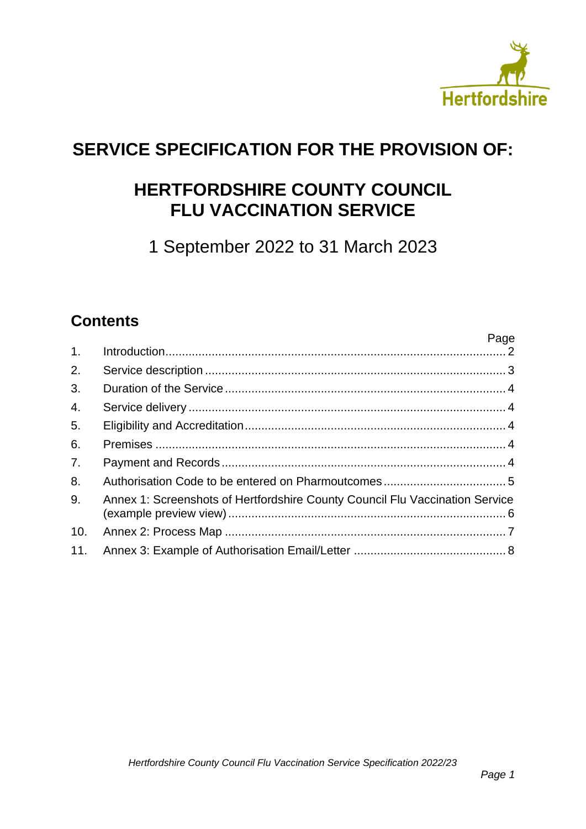

Page

## **SERVICE SPECIFICATION FOR THE PROVISION OF:**

## **HERTFORDSHIRE COUNTY COUNCIL FLU VACCINATION SERVICE**

1 September 2022 to 31 March 2023

### **Contents**

| 1.  |                                                                              | raye |
|-----|------------------------------------------------------------------------------|------|
| 2.  |                                                                              |      |
| 3.  |                                                                              |      |
| 4.  |                                                                              |      |
| 5.  |                                                                              |      |
| 6.  |                                                                              |      |
| 7.  |                                                                              |      |
| 8.  |                                                                              |      |
| 9.  | Annex 1: Screenshots of Hertfordshire County Council Flu Vaccination Service |      |
| 10. |                                                                              |      |
|     |                                                                              |      |
|     |                                                                              |      |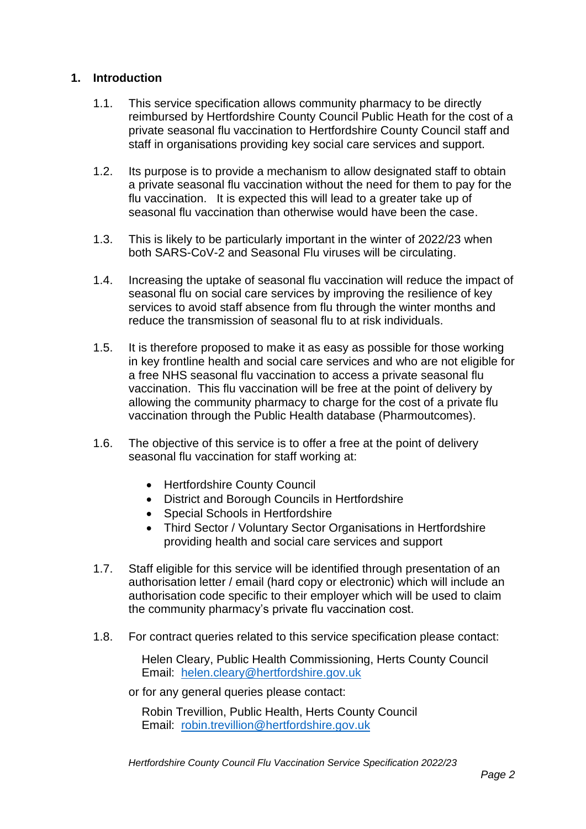#### <span id="page-1-0"></span>**1. Introduction**

- 1.1. This service specification allows community pharmacy to be directly reimbursed by Hertfordshire County Council Public Heath for the cost of a private seasonal flu vaccination to Hertfordshire County Council staff and staff in organisations providing key social care services and support.
- 1.2. Its purpose is to provide a mechanism to allow designated staff to obtain a private seasonal flu vaccination without the need for them to pay for the flu vaccination. It is expected this will lead to a greater take up of seasonal flu vaccination than otherwise would have been the case.
- 1.3. This is likely to be particularly important in the winter of 2022/23 when both SARS-CoV-2 and Seasonal Flu viruses will be circulating.
- 1.4. Increasing the uptake of seasonal flu vaccination will reduce the impact of seasonal flu on social care services by improving the resilience of key services to avoid staff absence from flu through the winter months and reduce the transmission of seasonal flu to at risk individuals.
- 1.5. It is therefore proposed to make it as easy as possible for those working in key frontline health and social care services and who are not eligible for a free NHS seasonal flu vaccination to access a private seasonal flu vaccination. This flu vaccination will be free at the point of delivery by allowing the community pharmacy to charge for the cost of a private flu vaccination through the Public Health database (Pharmoutcomes).
- 1.6. The objective of this service is to offer a free at the point of delivery seasonal flu vaccination for staff working at:
	- Hertfordshire County Council
	- District and Borough Councils in Hertfordshire
	- Special Schools in Hertfordshire
	- Third Sector / Voluntary Sector Organisations in Hertfordshire providing health and social care services and support
- 1.7. Staff eligible for this service will be identified through presentation of an authorisation letter / email (hard copy or electronic) which will include an authorisation code specific to their employer which will be used to claim the community pharmacy's private flu vaccination cost.
- 1.8. For contract queries related to this service specification please contact:

Helen Cleary, Public Health Commissioning, Herts County Council Email: [helen.cleary@hertfordshire.gov.uk](mailto:helen.cleary@hertfordshire.gov.uk)

or for any general queries please contact:

Robin Trevillion, Public Health, Herts County Council Email: [robin.trevillion@hertfordshire.gov.uk](mailto:robin.trevillion@hertfordshire.gov.uk)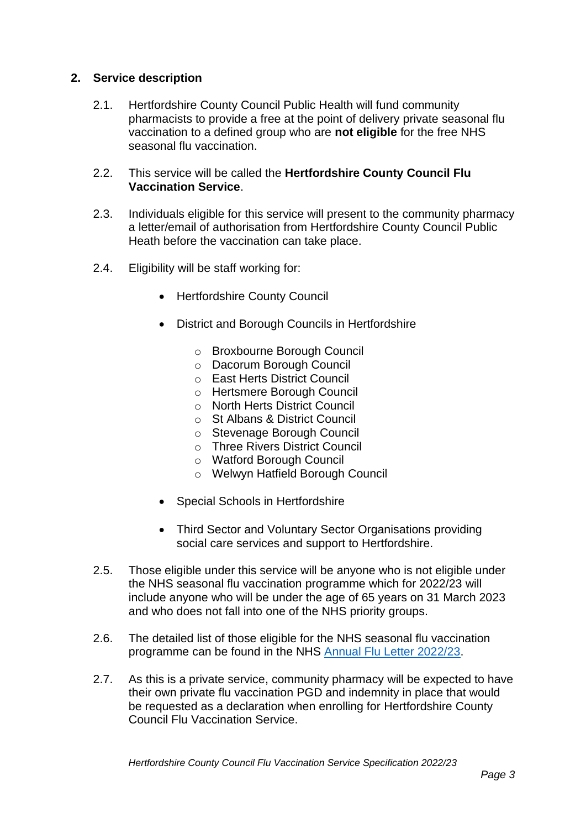#### <span id="page-2-0"></span>**2. Service description**

- 2.1. Hertfordshire County Council Public Health will fund community pharmacists to provide a free at the point of delivery private seasonal flu vaccination to a defined group who are **not eligible** for the free NHS seasonal flu vaccination.
- 2.2. This service will be called the **Hertfordshire County Council Flu Vaccination Service**.
- 2.3. Individuals eligible for this service will present to the community pharmacy a letter/email of authorisation from Hertfordshire County Council Public Heath before the vaccination can take place.
- 2.4. Eligibility will be staff working for:
	- Hertfordshire County Council
	- District and Borough Councils in Hertfordshire
		- o Broxbourne Borough Council
		- o Dacorum Borough Council
		- o East Herts District Council
		- o Hertsmere Borough Council
		- o North Herts District Council
		- o St Albans & District Council
		- o Stevenage Borough Council
		- o Three Rivers District Council
		- o Watford Borough Council
		- o Welwyn Hatfield Borough Council
	- Special Schools in Hertfordshire
	- Third Sector and Voluntary Sector Organisations providing social care services and support to Hertfordshire.
- 2.5. Those eligible under this service will be anyone who is not eligible under the NHS seasonal flu vaccination programme which for 2022/23 will include anyone who will be under the age of 65 years on 31 March 2023 and who does not fall into one of the NHS priority groups.
- 2.6. The detailed list of those eligible for the NHS seasonal flu vaccination programme can be found in the NHS [Annual Flu Letter 2022/23.](https://assets.publishing.service.gov.uk/government/uploads/system/uploads/attachment_data/file/1070494/Tripartite-annual-flu-letter-2022-to-2023.pdf)
- 2.7. As this is a private service, community pharmacy will be expected to have their own private flu vaccination PGD and indemnity in place that would be requested as a declaration when enrolling for Hertfordshire County Council Flu Vaccination Service.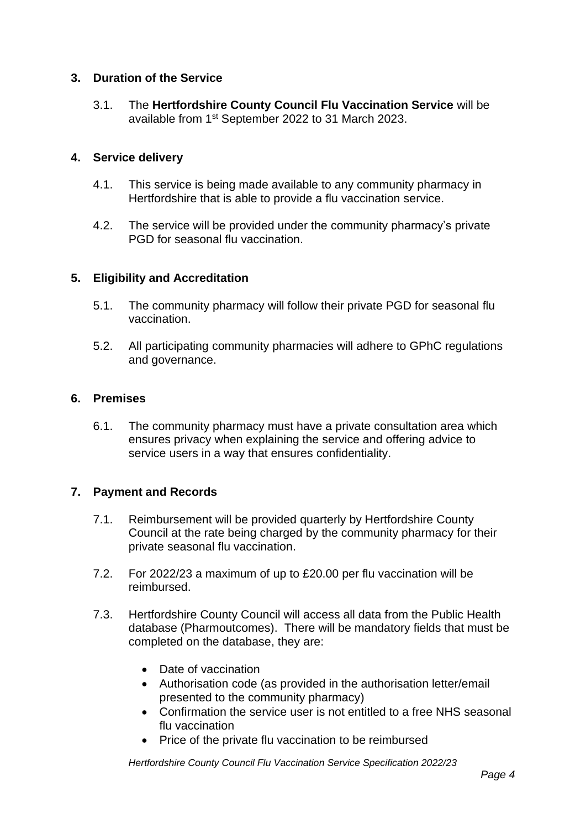#### <span id="page-3-0"></span>**3. Duration of the Service**

3.1. The **Hertfordshire County Council Flu Vaccination Service** will be available from 1st September 2022 to 31 March 2023.

#### <span id="page-3-1"></span>**4. Service delivery**

- 4.1. This service is being made available to any community pharmacy in Hertfordshire that is able to provide a flu vaccination service.
- 4.2. The service will be provided under the community pharmacy's private PGD for seasonal flu vaccination.

#### <span id="page-3-2"></span>**5. Eligibility and Accreditation**

- 5.1. The community pharmacy will follow their private PGD for seasonal flu vaccination.
- 5.2. All participating community pharmacies will adhere to GPhC regulations and governance.

#### <span id="page-3-3"></span>**6. Premises**

6.1. The community pharmacy must have a private consultation area which ensures privacy when explaining the service and offering advice to service users in a way that ensures confidentiality.

#### <span id="page-3-4"></span>**7. Payment and Records**

- 7.1. Reimbursement will be provided quarterly by Hertfordshire County Council at the rate being charged by the community pharmacy for their private seasonal flu vaccination.
- 7.2. For 2022/23 a maximum of up to £20.00 per flu vaccination will be reimbursed.
- 7.3. Hertfordshire County Council will access all data from the Public Health database (Pharmoutcomes). There will be mandatory fields that must be completed on the database, they are:
	- Date of vaccination
	- Authorisation code (as provided in the authorisation letter/email presented to the community pharmacy)
	- Confirmation the service user is not entitled to a free NHS seasonal flu vaccination
	- Price of the private flu vaccination to be reimbursed

*Hertfordshire County Council Flu Vaccination Service Specification 2022/23*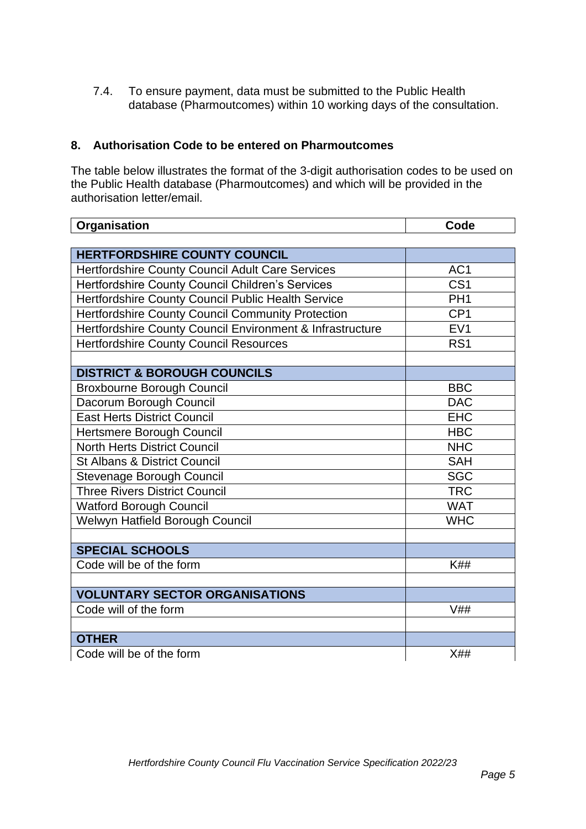7.4. To ensure payment, data must be submitted to the Public Health database (Pharmoutcomes) within 10 working days of the consultation.

#### <span id="page-4-0"></span>**8. Authorisation Code to be entered on Pharmoutcomes**

The table below illustrates the format of the 3-digit authorisation codes to be used on the Public Health database (Pharmoutcomes) and which will be provided in the authorisation letter/email.

| Organisation                                              | Code            |
|-----------------------------------------------------------|-----------------|
|                                                           |                 |
| <b>HERTFORDSHIRE COUNTY COUNCIL</b>                       |                 |
| Hertfordshire County Council Adult Care Services          | AC <sub>1</sub> |
| Hertfordshire County Council Children's Services          | CS <sub>1</sub> |
| Hertfordshire County Council Public Health Service        | PH <sub>1</sub> |
| Hertfordshire County Council Community Protection         | CP <sub>1</sub> |
| Hertfordshire County Council Environment & Infrastructure | EV <sub>1</sub> |
| <b>Hertfordshire County Council Resources</b>             | RS <sub>1</sub> |
|                                                           |                 |
| <b>DISTRICT &amp; BOROUGH COUNCILS</b>                    |                 |
| <b>Broxbourne Borough Council</b>                         | <b>BBC</b>      |
| Dacorum Borough Council                                   | <b>DAC</b>      |
| <b>East Herts District Council</b>                        | <b>EHC</b>      |
| Hertsmere Borough Council                                 | <b>HBC</b>      |
| <b>North Herts District Council</b>                       | <b>NHC</b>      |
| <b>St Albans &amp; District Council</b>                   | <b>SAH</b>      |
| Stevenage Borough Council                                 | <b>SGC</b>      |
| <b>Three Rivers District Council</b>                      | <b>TRC</b>      |
| <b>Watford Borough Council</b>                            | <b>WAT</b>      |
| Welwyn Hatfield Borough Council                           | <b>WHC</b>      |
| <b>SPECIAL SCHOOLS</b>                                    |                 |
| Code will be of the form                                  | <b>K##</b>      |
|                                                           |                 |
| <b>VOLUNTARY SECTOR ORGANISATIONS</b>                     |                 |
| Code will of the form                                     | V##             |
| <b>OTHER</b>                                              |                 |
| Code will be of the form                                  | X##             |
|                                                           |                 |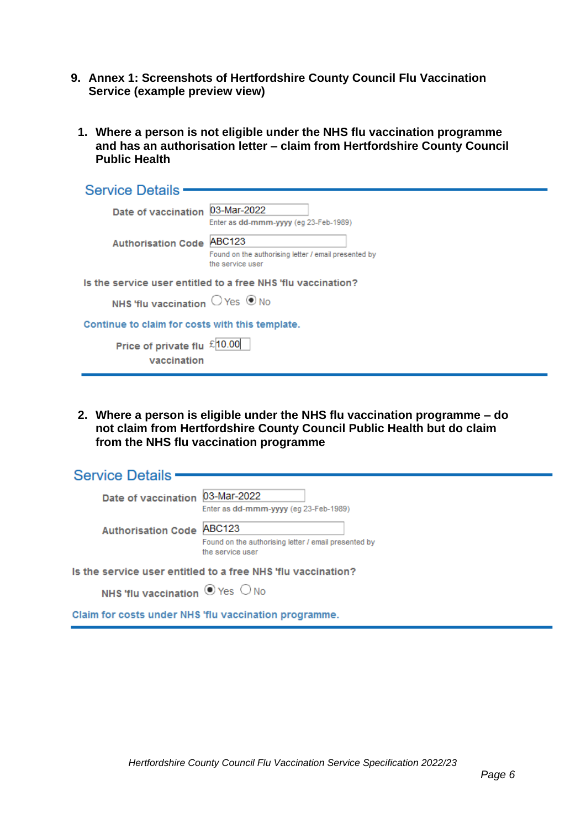- <span id="page-5-0"></span>**9. Annex 1: Screenshots of Hertfordshire County Council Flu Vaccination Service (example preview view)**
	- **1. Where a person is not eligible under the NHS flu vaccination programme and has an authorisation letter – claim from Hertfordshire County Council Public Health**

| <b>Service Details</b>                                       |                                                                                           |  |  |  |  |
|--------------------------------------------------------------|-------------------------------------------------------------------------------------------|--|--|--|--|
| Date of vaccination                                          | 03-Mar-2022<br>Enter as dd-mmm-yyyy (eq 23-Feb-1989)                                      |  |  |  |  |
| <b>Authorisation Code</b>                                    | <b>ABC123</b><br>Found on the authorising letter / email presented by<br>the service user |  |  |  |  |
| Is the service user entitled to a free NHS 'flu vaccination? |                                                                                           |  |  |  |  |
| NHS 'flu vaccination $\bigcirc$ Yes $\circledast$ No         |                                                                                           |  |  |  |  |
| Continue to claim for costs with this template.              |                                                                                           |  |  |  |  |
| Price of private flu £10.00<br>vaccination                   |                                                                                           |  |  |  |  |

**2. Where a person is eligible under the NHS flu vaccination programme – do not claim from Hertfordshire County Council Public Health but do claim from the NHS flu vaccination programme**

| <b>Service Details</b>                                       |                                 |                                                       |  |  |  |  |
|--------------------------------------------------------------|---------------------------------|-------------------------------------------------------|--|--|--|--|
|                                                              |                                 |                                                       |  |  |  |  |
|                                                              | Date of vaccination             | 03-Mar-2022                                           |  |  |  |  |
|                                                              |                                 | Enter as dd-mmm-yyyy (eq 23-Feb-1989)                 |  |  |  |  |
|                                                              | <b>Authorisation Code</b>       | <b>ABC123</b>                                         |  |  |  |  |
|                                                              |                                 | Found on the authorising letter / email presented by  |  |  |  |  |
|                                                              |                                 | the service user                                      |  |  |  |  |
| Is the service user entitled to a free NHS 'flu vaccination? |                                 |                                                       |  |  |  |  |
|                                                              | NHS 'flu vaccination O Yes O No |                                                       |  |  |  |  |
|                                                              |                                 | Claim for costs under NHS 'flu vaccination programme. |  |  |  |  |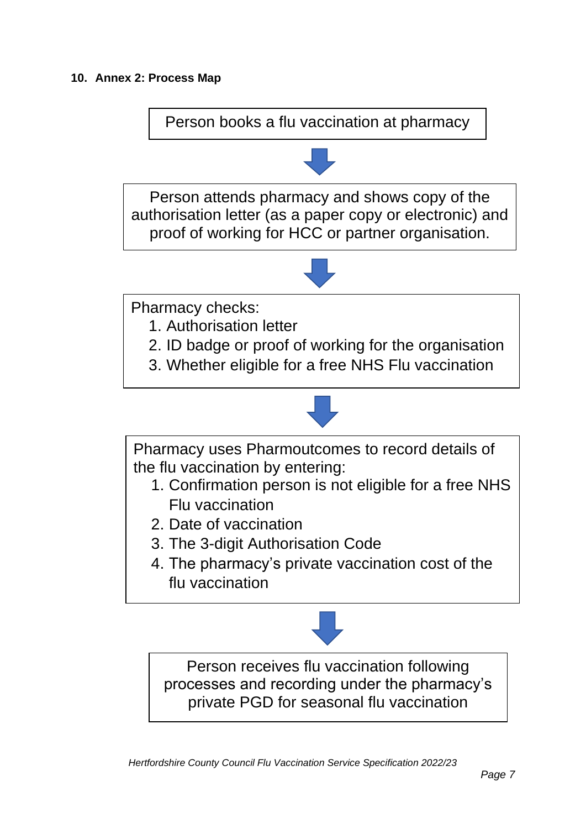<span id="page-6-0"></span>Person books a flu vaccination at pharmacy

Person attends pharmacy and shows copy of the authorisation letter (as a paper copy or electronic) and proof of working for HCC or partner organisation.



Pharmacy checks:

- 1. Authorisation letter
- 2. ID badge or proof of working for the organisation
- 3. Whether eligible for a free NHS Flu vaccination



Person receives flu vaccination following processes and recording under the pharmacy's private PGD for seasonal flu vaccination